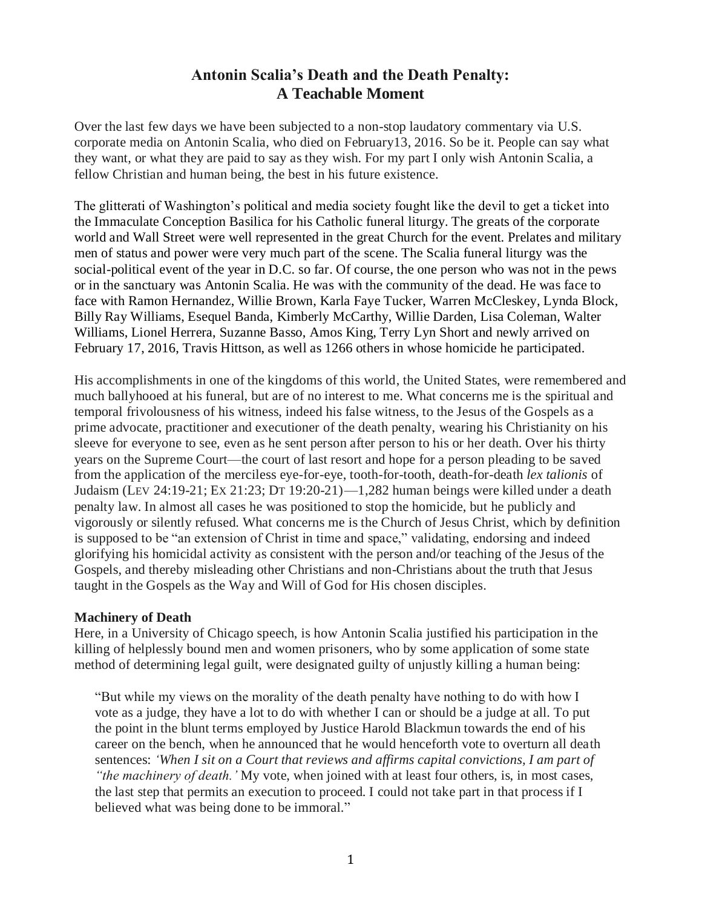# **Antonin Scalia's Death and the Death Penalty: A Teachable Moment**

Over the last few days we have been subjected to a non-stop laudatory commentary via U.S. corporate media on Antonin Scalia, who died on February13, 2016. So be it. People can say what they want, or what they are paid to say as they wish. For my part I only wish Antonin Scalia, a fellow Christian and human being, the best in his future existence.

The glitterati of Washington's political and media society fought like the devil to get a ticket into the Immaculate Conception Basilica for his Catholic funeral liturgy. The greats of the corporate world and Wall Street were well represented in the great Church for the event. Prelates and military men of status and power were very much part of the scene. The Scalia funeral liturgy was the social-political event of the year in D.C. so far. Of course, the one person who was not in the pews or in the sanctuary was Antonin Scalia. He was with the community of the dead. He was face to face with Ramon Hernandez, Willie Brown, Karla Faye Tucker, Warren McCleskey, Lynda Block, Billy Ray Williams, Esequel Banda, Kimberly McCarthy, Willie Darden, Lisa Coleman, Walter Williams, Lionel Herrera, Suzanne Basso, Amos King, Terry Lyn Short and newly arrived on February 17, 2016, Travis Hittson, as well as 1266 others in whose homicide he participated.

His accomplishments in one of the kingdoms of this world, the United States, were remembered and much ballyhooed at his funeral, but are of no interest to me. What concerns me is the spiritual and temporal frivolousness of his witness, indeed his false witness, to the Jesus of the Gospels as a prime advocate, practitioner and executioner of the death penalty, wearing his Christianity on his sleeve for everyone to see, even as he sent person after person to his or her death. Over his thirty years on the Supreme Court—the court of last resort and hope for a person pleading to be saved from the application of the merciless eye-for-eye, tooth-for-tooth, death-for-death *lex talionis* of Judaism (LEV 24:19-21; EX 21:23; DT 19:20-21)—1,282 human beings were killed under a death penalty law. In almost all cases he was positioned to stop the homicide, but he publicly and vigorously or silently refused. What concerns me is the Church of Jesus Christ, which by definition is supposed to be "an extension of Christ in time and space," validating, endorsing and indeed glorifying his homicidal activity as consistent with the person and/or teaching of the Jesus of the Gospels, and thereby misleading other Christians and non-Christians about the truth that Jesus taught in the Gospels as the Way and Will of God for His chosen disciples.

### **Machinery of Death**

Here, in a University of Chicago speech, is how Antonin Scalia justified his participation in the killing of helplessly bound men and women prisoners, who by some application of some state method of determining legal guilt, were designated guilty of unjustly killing a human being:

"But while my views on the morality of the death penalty have nothing to do with how I vote as a judge, they have a lot to do with whether I can or should be a judge at all. To put the point in the blunt terms employed by Justice Harold Blackmun towards the end of his career on the bench, when he announced that he would henceforth vote to overturn all death sentences: *'When I sit on a Court that reviews and affirms capital convictions, I am part of "the machinery of death.'* My vote, when joined with at least four others, is, in most cases, the last step that permits an execution to proceed. I could not take part in that process if I believed what was being done to be immoral."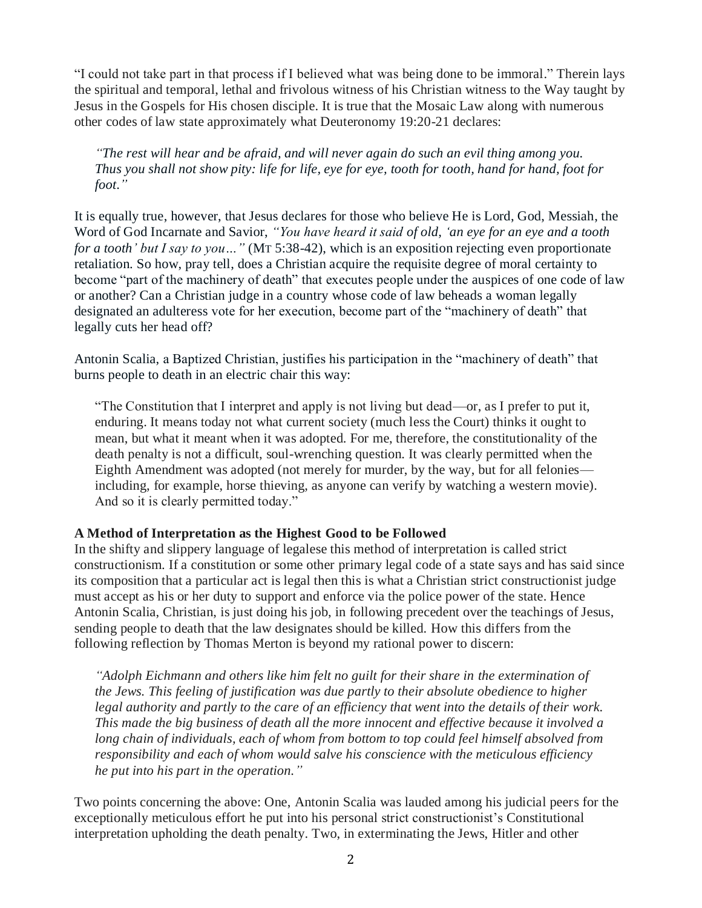"I could not take part in that process if I believed what was being done to be immoral." Therein lays the spiritual and temporal, lethal and frivolous witness of his Christian witness to the Way taught by Jesus in the Gospels for His chosen disciple. It is true that the Mosaic Law along with numerous other codes of law state approximately what Deuteronomy 19:20-21 declares:

*"The rest will hear and be afraid, and will never again do such an evil thing among you. Thus you shall not show pity: life for life, eye for eye, tooth for tooth, hand for hand, foot for foot*.*"*

It is equally true, however, that Jesus declares for those who believe He is Lord, God, Messiah, the Word of God Incarnate and Savior, *"You have heard it said of old, 'an eye for an eye and a tooth for a tooth' but I say to you…"* (MT 5:38-42), which is an exposition rejecting even proportionate retaliation. So how, pray tell, does a Christian acquire the requisite degree of moral certainty to become "part of the machinery of death" that executes people under the auspices of one code of law or another? Can a Christian judge in a country whose code of law beheads a woman legally designated an adulteress vote for her execution, become part of the "machinery of death" that legally cuts her head off?

Antonin Scalia, a Baptized Christian, justifies his participation in the "machinery of death" that burns people to death in an electric chair this way:

"The Constitution that I interpret and apply is not living but dead—or, as I prefer to put it, enduring. It means today not what current society (much less the Court) thinks it ought to mean, but what it meant when it was adopted. For me, therefore, the constitutionality of the death penalty is not a difficult, soul-wrenching question. It was clearly permitted when the Eighth Amendment was adopted (not merely for murder, by the way, but for all felonies including, for example, horse thieving, as anyone can verify by watching a western movie). And so it is clearly permitted today."

### **A Method of Interpretation as the Highest Good to be Followed**

In the shifty and slippery language of legalese this method of interpretation is called strict constructionism. If a constitution or some other primary legal code of a state says and has said since its composition that a particular act is legal then this is what a Christian strict constructionist judge must accept as his or her duty to support and enforce via the police power of the state. Hence Antonin Scalia, Christian, is just doing his job, in following precedent over the teachings of Jesus, sending people to death that the law designates should be killed. How this differs from the following reflection by Thomas Merton is beyond my rational power to discern:

*"Adolph Eichmann and others like him felt no guilt for their share in the extermination of the Jews. This feeling of justification was due partly to their absolute obedience to higher legal authority and partly to the care of an efficiency that went into the details of their work. This made the big business of death all the more innocent and effective because it involved a long chain of individuals, each of whom from bottom to top could feel himself absolved from responsibility and each of whom would salve his conscience with the meticulous efficiency he put into his part in the operation."*

Two points concerning the above: One, Antonin Scalia was lauded among his judicial peers for the exceptionally meticulous effort he put into his personal strict constructionist's Constitutional interpretation upholding the death penalty. Two, in exterminating the Jews, Hitler and other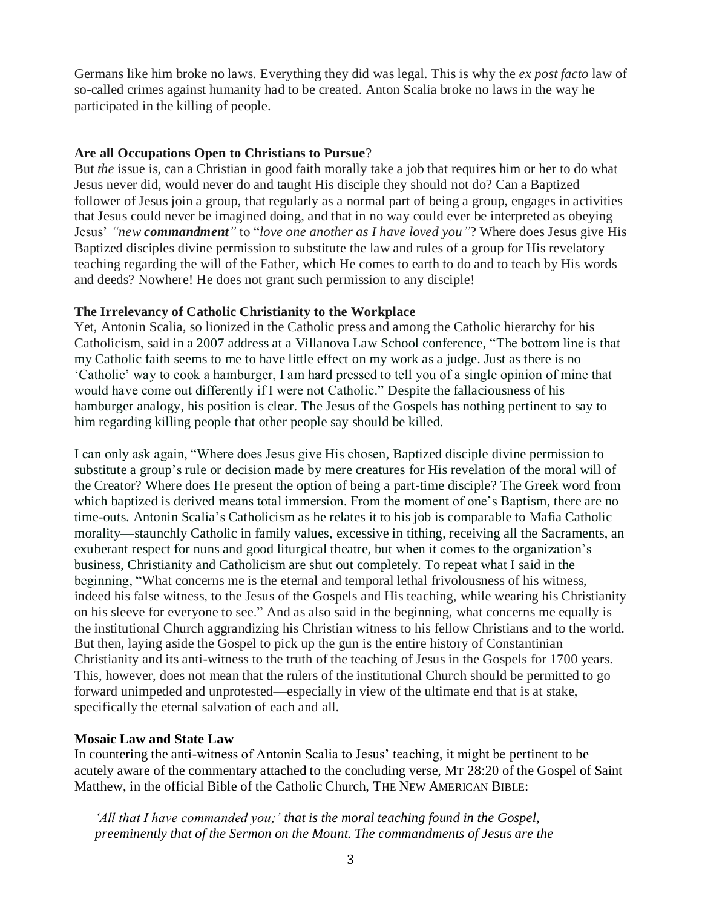Germans like him broke no laws. Everything they did was legal. This is why the *ex post facto* law of so-called crimes against humanity had to be created. Anton Scalia broke no laws in the way he participated in the killing of people.

# **Are all Occupations Open to Christians to Pursue**?

But *the* issue is, can a Christian in good faith morally take a job that requires him or her to do what Jesus never did, would never do and taught His disciple they should not do? Can a Baptized follower of Jesus join a group, that regularly as a normal part of being a group, engages in activities that Jesus could never be imagined doing, and that in no way could ever be interpreted as obeying Jesus' *"new commandment"* to "*love one another as I have loved you"*? Where does Jesus give His Baptized disciples divine permission to substitute the law and rules of a group for His revelatory teaching regarding the will of the Father, which He comes to earth to do and to teach by His words and deeds? Nowhere! He does not grant such permission to any disciple!

# **The Irrelevancy of Catholic Christianity to the Workplace**

Yet, Antonin Scalia, so lionized in the Catholic press and among the Catholic hierarchy for his Catholicism, said in a 2007 address at a Villanova Law School conference, "The bottom line is that my Catholic faith seems to me to have little effect on my work as a judge. Just as there is no 'Catholic' way to cook a hamburger, I am hard pressed to tell you of a single opinion of mine that would have come out differently if I were not Catholic." Despite the fallaciousness of his hamburger analogy, his position is clear. The Jesus of the Gospels has nothing pertinent to say to him regarding killing people that other people say should be killed.

I can only ask again, "Where does Jesus give His chosen, Baptized disciple divine permission to substitute a group's rule or decision made by mere creatures for His revelation of the moral will of the Creator? Where does He present the option of being a part-time disciple? The Greek word from which baptized is derived means total immersion. From the moment of one's Baptism, there are no time-outs. Antonin Scalia's Catholicism as he relates it to his job is comparable to Mafia Catholic morality—staunchly Catholic in family values, excessive in tithing, receiving all the Sacraments, an exuberant respect for nuns and good liturgical theatre, but when it comes to the organization's business, Christianity and Catholicism are shut out completely. To repeat what I said in the beginning, "What concerns me is the eternal and temporal lethal frivolousness of his witness, indeed his false witness, to the Jesus of the Gospels and His teaching, while wearing his Christianity on his sleeve for everyone to see." And as also said in the beginning, what concerns me equally is the institutional Church aggrandizing his Christian witness to his fellow Christians and to the world. But then, laying aside the Gospel to pick up the gun is the entire history of Constantinian Christianity and its anti-witness to the truth of the teaching of Jesus in the Gospels for 1700 years. This, however, does not mean that the rulers of the institutional Church should be permitted to go forward unimpeded and unprotested—especially in view of the ultimate end that is at stake, specifically the eternal salvation of each and all.

# **Mosaic Law and State Law**

In countering the anti-witness of Antonin Scalia to Jesus' teaching, it might be pertinent to be acutely aware of the commentary attached to the concluding verse, MT 28:20 of the Gospel of Saint Matthew, in the official Bible of the Catholic Church, THE NEW AMERICAN BIBLE:

*'All that I have commanded you;' that is the moral teaching found in the Gospel, preeminently that of the Sermon on the Mount. The commandments of Jesus are the*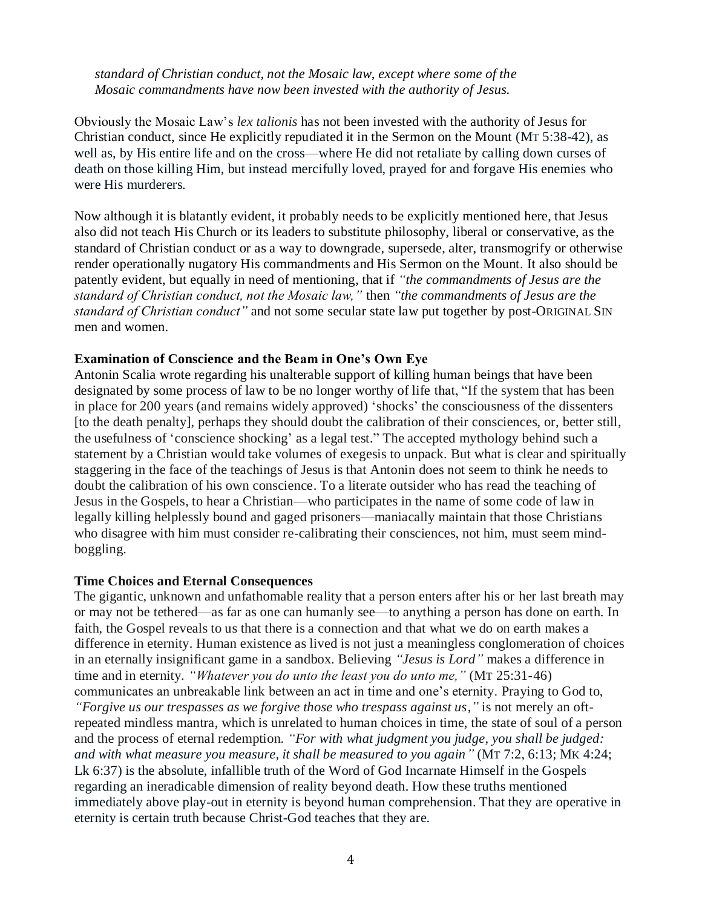*standard of Christian conduct, not the Mosaic law, except where some of the Mosaic commandments have now been invested with the authority of Jesus.*

Obviously the Mosaic Law's *lex talionis* has not been invested with the authority of Jesus for Christian conduct, since He explicitly repudiated it in the Sermon on the Mount (MT 5:38-42), as well as, by His entire life and on the cross—where He did not retaliate by calling down curses of death on those killing Him, but instead mercifully loved, prayed for and forgave His enemies who were His murderers.

Now although it is blatantly evident, it probably needs to be explicitly mentioned here, that Jesus also did not teach His Church or its leaders to substitute philosophy, liberal or conservative, as the standard of Christian conduct or as a way to downgrade, supersede, alter, transmogrify or otherwise render operationally nugatory His commandments and His Sermon on the Mount. It also should be patently evident, but equally in need of mentioning, that if *"the commandments of Jesus are the standard of Christian conduct, not the Mosaic law,"* then *"the commandments of Jesus are the standard of Christian conduct"* and not some secular state law put together by post-ORIGINAL SIN men and women.

#### **Examination of Conscience and the Beam in One's Own Eye**

Antonin Scalia wrote regarding his unalterable support of killing human beings that have been designated by some process of law to be no longer worthy of life that, "If the system that has been in place for 200 years (and remains widely approved) 'shocks' the consciousness of the dissenters [to the death penalty], perhaps they should doubt the calibration of their consciences, or, better still, the usefulness of 'conscience shocking' as a legal test." The accepted mythology behind such a statement by a Christian would take volumes of exegesis to unpack. But what is clear and spiritually staggering in the face of the teachings of Jesus is that Antonin does not seem to think he needs to doubt the calibration of his own conscience. To a literate outsider who has read the teaching of Jesus in the Gospels, to hear a Christian—who participates in the name of some code of law in legally killing helplessly bound and gaged prisoners—maniacally maintain that those Christians who disagree with him must consider re-calibrating their consciences, not him, must seem mindboggling.

#### **Time Choices and Eternal Consequences**

The gigantic, unknown and unfathomable reality that a person enters after his or her last breath may or may not be tethered—as far as one can humanly see—to anything a person has done on earth. In faith, the Gospel reveals to us that there is a connection and that what we do on earth makes a difference in eternity. Human existence as lived is not just a meaningless conglomeration of choices in an eternally insignificant game in a sandbox. Believing *"Jesus is Lord"* makes a difference in time and in eternity. *"Whatever you do unto the least you do unto me,"* (MT 25:31-46) communicates an unbreakable link between an act in time and one's eternity. Praying to God to, *"Forgive us our trespasses as we forgive those who trespass against us*,*"* is not merely an oftrepeated mindless mantra, which is unrelated to human choices in time, the state of soul of a person and the process of eternal redemption. *"For with what judgment you judge, you shall be judged: and with what measure you measure, it shall be measured to you again"* (MT 7:2, 6:13; MK 4:24; Lk 6:37) is the absolute, infallible truth of the Word of God Incarnate Himself in the Gospels regarding an ineradicable dimension of reality beyond death. How these truths mentioned immediately above play-out in eternity is beyond human comprehension. That they are operative in eternity is certain truth because Christ-God teaches that they are.